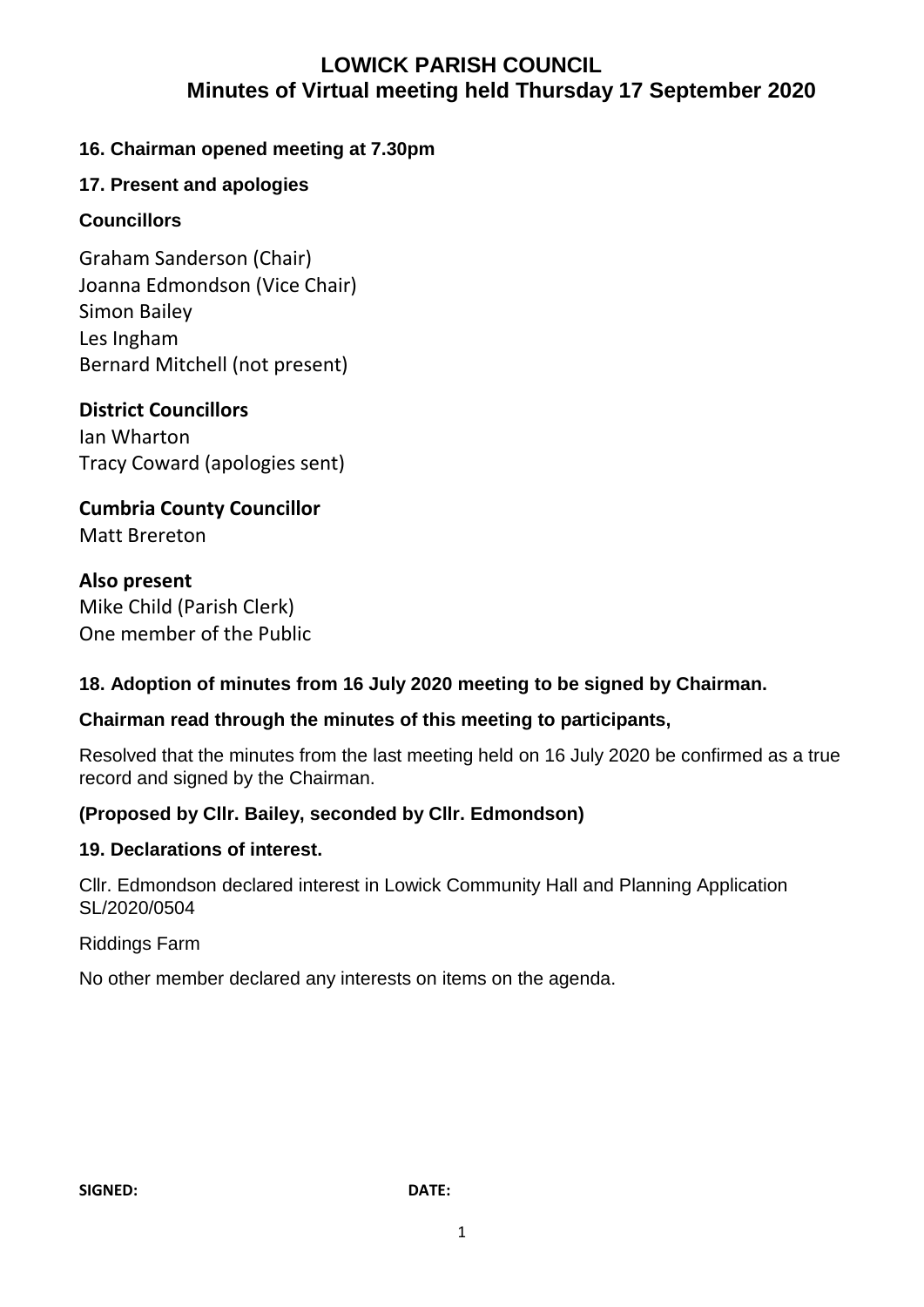## **LOWICK PARISH COUNCIL Minutes of Virtual meeting held Thursday 17 September 2020**

### **16. Chairman opened meeting at 7.30pm**

### **17. Present and apologies**

### **Councillors**

Graham Sanderson (Chair) Joanna Edmondson (Vice Chair) Simon Bailey Les Ingham Bernard Mitchell (not present)

### **District Councillors**

Ian Wharton Tracy Coward (apologies sent)

**Cumbria County Councillor** Matt Brereton

### **Also present**

Mike Child (Parish Clerk) One member of the Public

### **18. Adoption of minutes from 16 July 2020 meeting to be signed by Chairman.**

### **Chairman read through the minutes of this meeting to participants,**

Resolved that the minutes from the last meeting held on 16 July 2020 be confirmed as a true record and signed by the Chairman.

### **(Proposed by Cllr. Bailey, seconded by Cllr. Edmondson)**

### **19. Declarations of interest.**

Cllr. Edmondson declared interest in Lowick Community Hall and Planning Application SL/2020/0504

### Riddings Farm

No other member declared any interests on items on the agenda.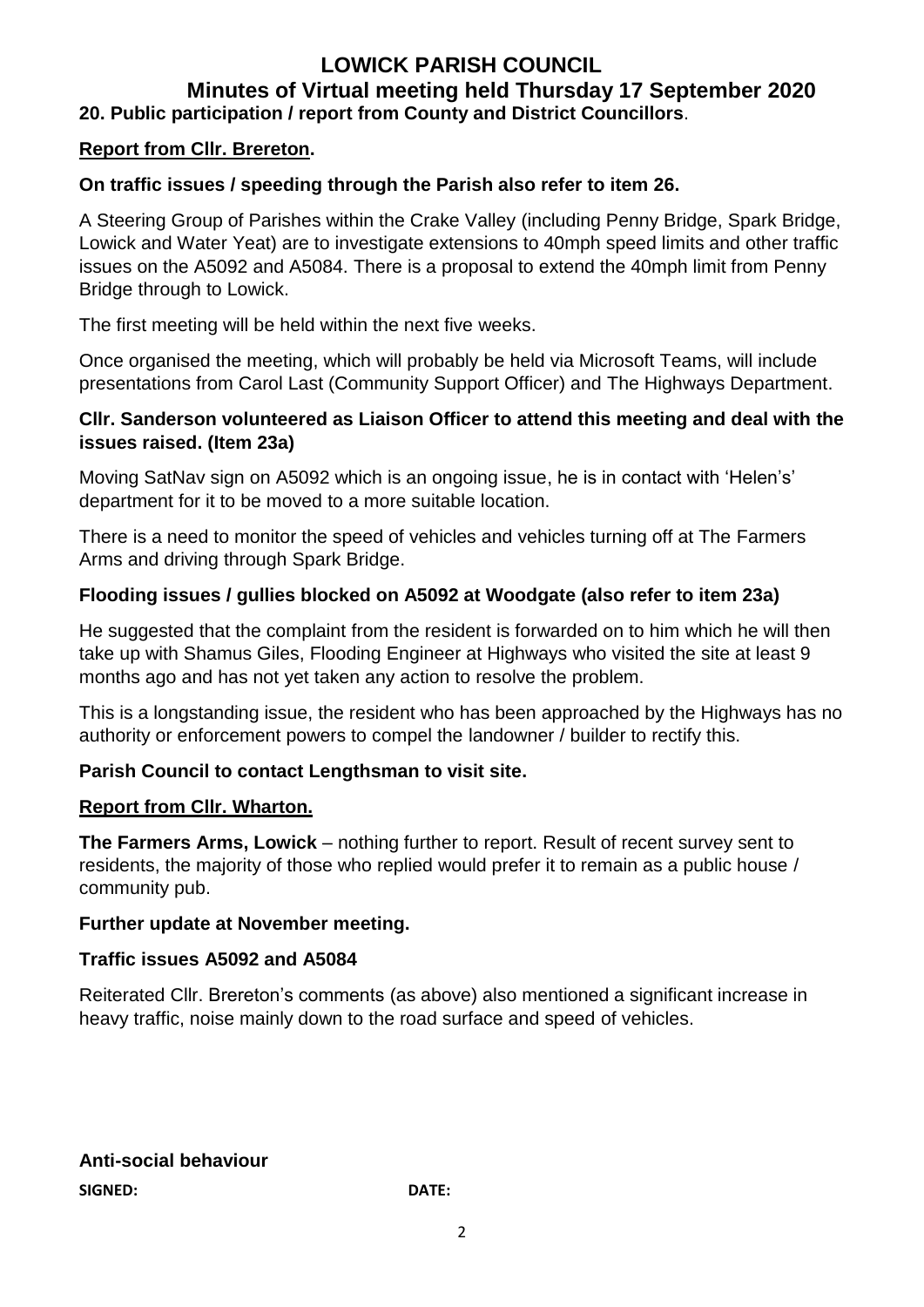### **LOWICK PARISH COUNCIL Minutes of Virtual meeting held Thursday 17 September 2020 20. Public participation / report from County and District Councillors**.

### **Report from Cllr. Brereton.**

#### **On traffic issues / speeding through the Parish also refer to item 26.**

A Steering Group of Parishes within the Crake Valley (including Penny Bridge, Spark Bridge, Lowick and Water Yeat) are to investigate extensions to 40mph speed limits and other traffic issues on the A5092 and A5084. There is a proposal to extend the 40mph limit from Penny Bridge through to Lowick.

The first meeting will be held within the next five weeks.

Once organised the meeting, which will probably be held via Microsoft Teams, will include presentations from Carol Last (Community Support Officer) and The Highways Department.

#### **Cllr. Sanderson volunteered as Liaison Officer to attend this meeting and deal with the issues raised. (Item 23a)**

Moving SatNav sign on A5092 which is an ongoing issue, he is in contact with 'Helen's' department for it to be moved to a more suitable location.

There is a need to monitor the speed of vehicles and vehicles turning off at The Farmers Arms and driving through Spark Bridge.

#### **Flooding issues / gullies blocked on A5092 at Woodgate (also refer to item 23a)**

He suggested that the complaint from the resident is forwarded on to him which he will then take up with Shamus Giles, Flooding Engineer at Highways who visited the site at least 9 months ago and has not yet taken any action to resolve the problem.

This is a longstanding issue, the resident who has been approached by the Highways has no authority or enforcement powers to compel the landowner / builder to rectify this.

### **Parish Council to contact Lengthsman to visit site.**

#### **Report from Cllr. Wharton.**

**The Farmers Arms, Lowick** – nothing further to report. Result of recent survey sent to residents, the majority of those who replied would prefer it to remain as a public house / community pub.

#### **Further update at November meeting.**

#### **Traffic issues A5092 and A5084**

Reiterated Cllr. Brereton's comments (as above) also mentioned a significant increase in heavy traffic, noise mainly down to the road surface and speed of vehicles.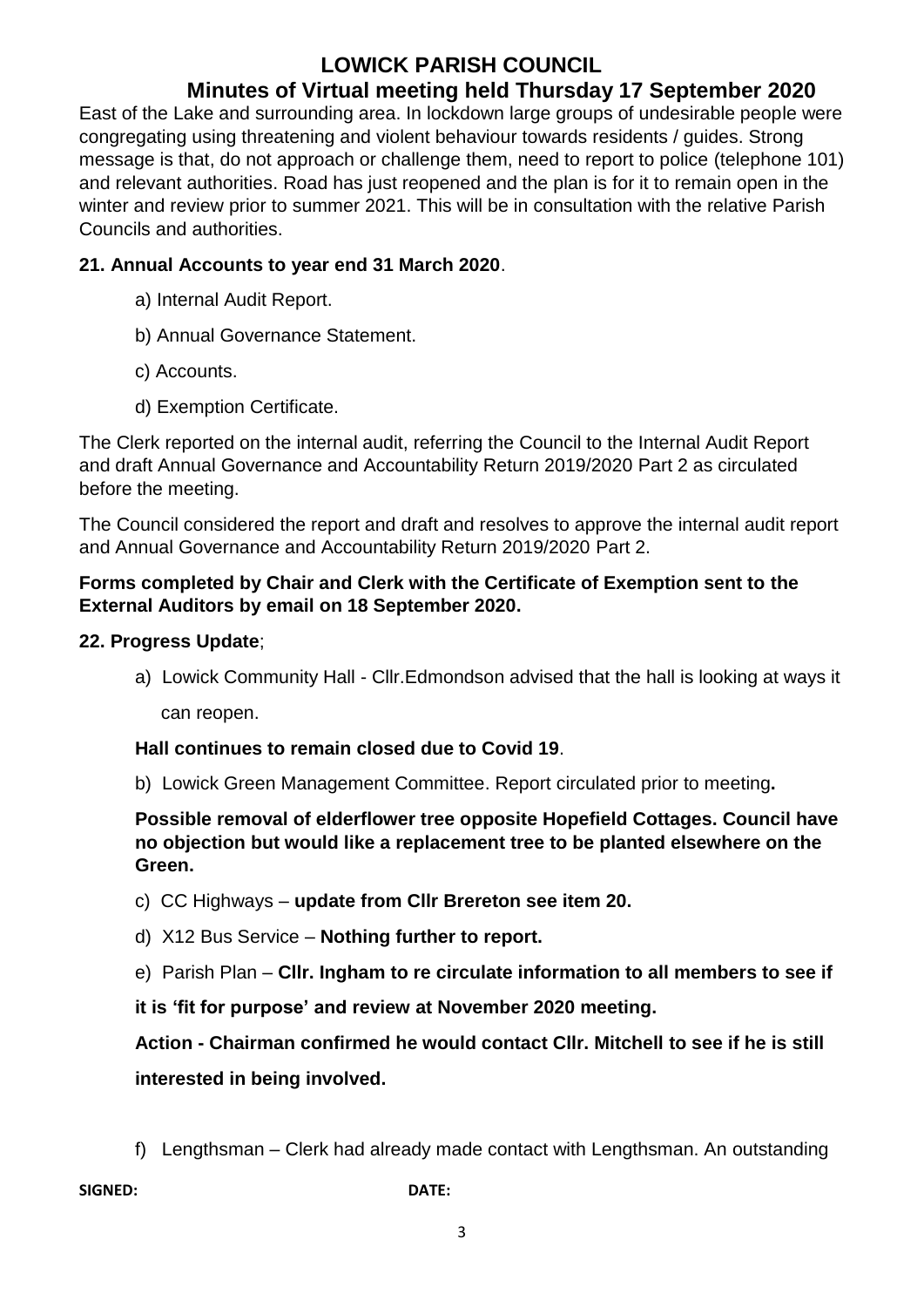# **LOWICK PARISH COUNCIL**

# **Minutes of Virtual meeting held Thursday 17 September 2020**

East of the Lake and surrounding area. In lockdown large groups of undesirable people were congregating using threatening and violent behaviour towards residents / guides. Strong message is that, do not approach or challenge them, need to report to police (telephone 101) and relevant authorities. Road has just reopened and the plan is for it to remain open in the winter and review prior to summer 2021. This will be in consultation with the relative Parish Councils and authorities.

### **21. Annual Accounts to year end 31 March 2020**.

- a) Internal Audit Report.
- b) Annual Governance Statement.
- c) Accounts.
- d) Exemption Certificate.

The Clerk reported on the internal audit, referring the Council to the Internal Audit Report and draft Annual Governance and Accountability Return 2019/2020 Part 2 as circulated before the meeting.

The Council considered the report and draft and resolves to approve the internal audit report and Annual Governance and Accountability Return 2019/2020 Part 2.

### **Forms completed by Chair and Clerk with the Certificate of Exemption sent to the External Auditors by email on 18 September 2020.**

### **22. Progress Update**;

a) Lowick Community Hall - Cllr.Edmondson advised that the hall is looking at ways it can reopen.

**Hall continues to remain closed due to Covid 19**.

b) Lowick Green Management Committee. Report circulated prior to meeting**.**

**Possible removal of elderflower tree opposite Hopefield Cottages. Council have no objection but would like a replacement tree to be planted elsewhere on the Green.**

- c) CC Highways **update from Cllr Brereton see item 20.**
- d) X12 Bus Service **Nothing further to report.**
- e) Parish Plan **Cllr. Ingham to re circulate information to all members to see if**

**it is 'fit for purpose' and review at November 2020 meeting.**

**Action - Chairman confirmed he would contact Cllr. Mitchell to see if he is still interested in being involved.**

f) Lengthsman – Clerk had already made contact with Lengthsman. An outstanding

**SIGNED: DATE:**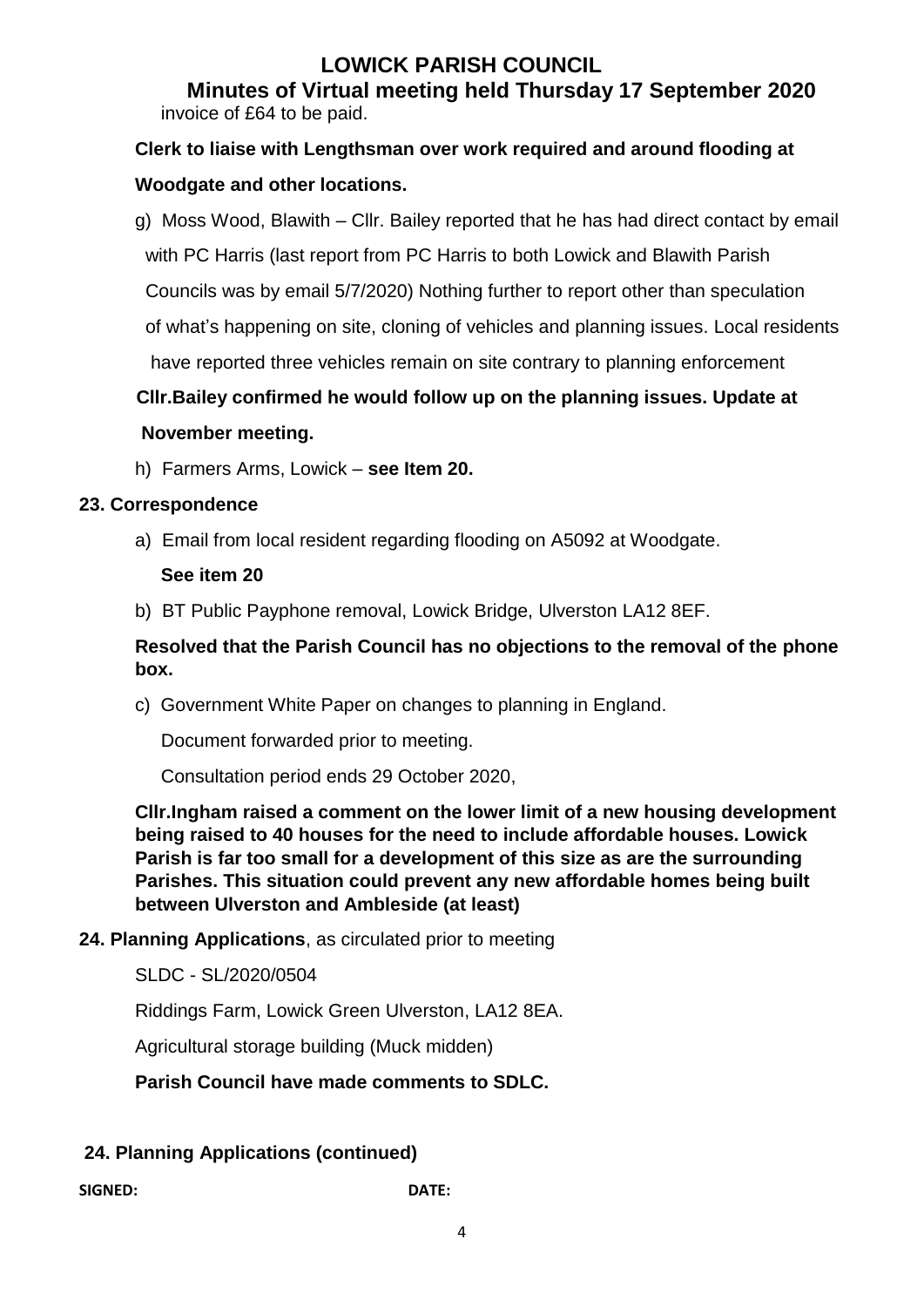# **LOWICK PARISH COUNCIL**

 **Minutes of Virtual meeting held Thursday 17 September 2020** invoice of £64 to be paid.

# **Clerk to liaise with Lengthsman over work required and around flooding at Woodgate and other locations.**

g) Moss Wood, Blawith – Cllr. Bailey reported that he has had direct contact by email with PC Harris (last report from PC Harris to both Lowick and Blawith Parish Councils was by email 5/7/2020) Nothing further to report other than speculation of what's happening on site, cloning of vehicles and planning issues. Local residents have reported three vehicles remain on site contrary to planning enforcement

# **Cllr.Bailey confirmed he would follow up on the planning issues. Update at**

### **November meeting.**

h) Farmers Arms, Lowick – **see Item 20.**

### **23. Correspondence**

a) Email from local resident regarding flooding on A5092 at Woodgate.

### **See item 20**

b) BT Public Payphone removal, Lowick Bridge, Ulverston LA12 8EF.

### **Resolved that the Parish Council has no objections to the removal of the phone box.**

c) Government White Paper on changes to planning in England.

Document forwarded prior to meeting.

Consultation period ends 29 October 2020,

**Cllr.Ingham raised a comment on the lower limit of a new housing development being raised to 40 houses for the need to include affordable houses. Lowick Parish is far too small for a development of this size as are the surrounding Parishes. This situation could prevent any new affordable homes being built between Ulverston and Ambleside (at least)**

### **24. Planning Applications**, as circulated prior to meeting

SLDC - SL/2020/0504

Riddings Farm, Lowick Green Ulverston, LA12 8EA.

Agricultural storage building (Muck midden)

**Parish Council have made comments to SDLC.**

### **24. Planning Applications (continued)**

**SIGNED: DATE:**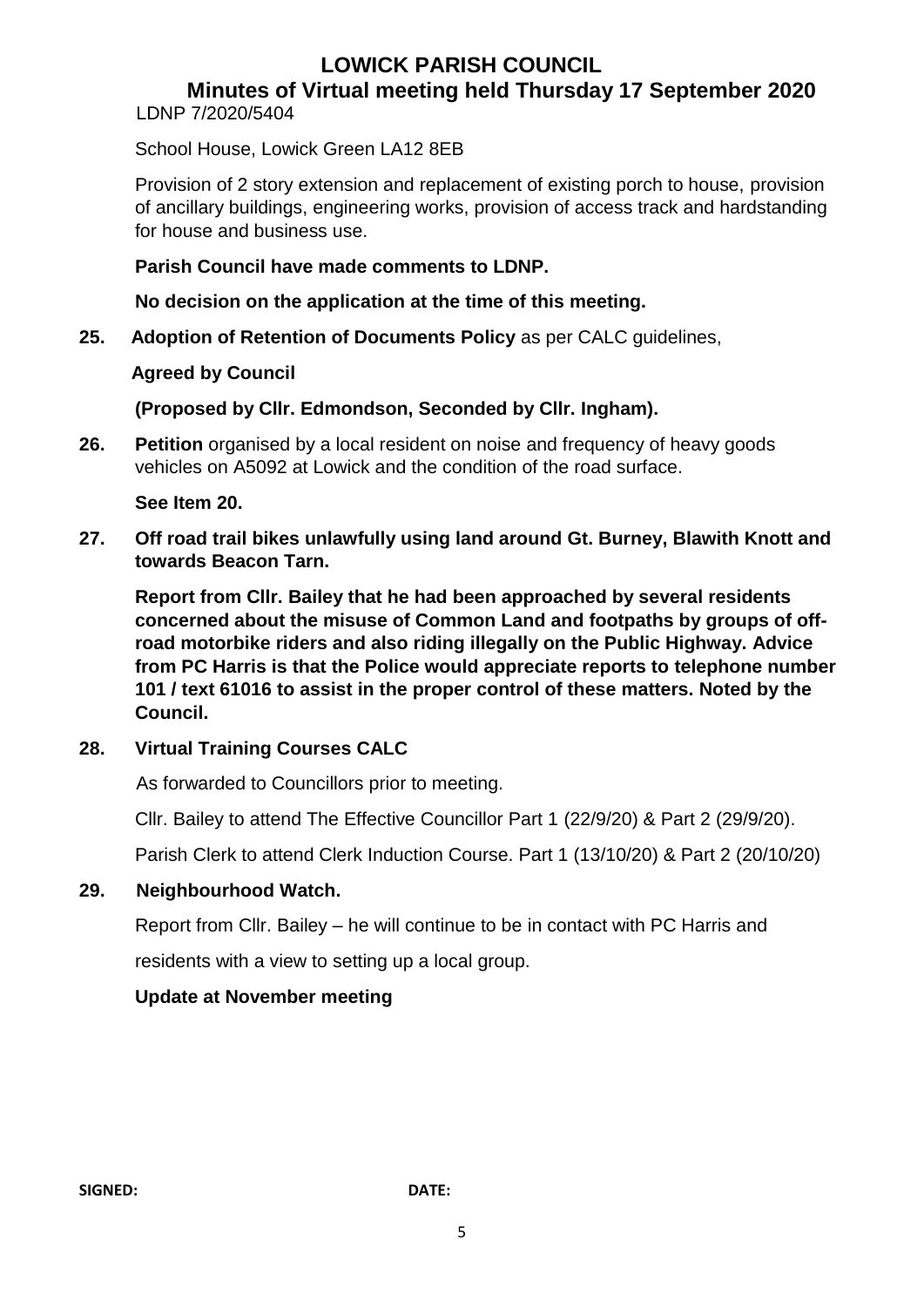# **LOWICK PARISH COUNCIL**

### **Minutes of Virtual meeting held Thursday 17 September 2020**

LDNP 7/2020/5404

School House, Lowick Green LA12 8EB

Provision of 2 story extension and replacement of existing porch to house, provision of ancillary buildings, engineering works, provision of access track and hardstanding for house and business use.

### **Parish Council have made comments to LDNP.**

**No decision on the application at the time of this meeting.**

**25. Adoption of Retention of Documents Policy** as per CALC guidelines,

### **Agreed by Council**

**(Proposed by Cllr. Edmondson, Seconded by Cllr. Ingham).**

**26. Petition** organised by a local resident on noise and frequency of heavy goods vehicles on A5092 at Lowick and the condition of the road surface.

### **See Item 20.**

**27. Off road trail bikes unlawfully using land around Gt. Burney, Blawith Knott and towards Beacon Tarn.**

**Report from Cllr. Bailey that he had been approached by several residents concerned about the misuse of Common Land and footpaths by groups of offroad motorbike riders and also riding illegally on the Public Highway. Advice from PC Harris is that the Police would appreciate reports to telephone number 101 / text 61016 to assist in the proper control of these matters. Noted by the Council.**

### **28. Virtual Training Courses CALC**

As forwarded to Councillors prior to meeting.

Cllr. Bailey to attend The Effective Councillor Part 1 (22/9/20) & Part 2 (29/9/20).

Parish Clerk to attend Clerk Induction Course. Part 1 (13/10/20) & Part 2 (20/10/20)

### **29. Neighbourhood Watch.**

Report from Cllr. Bailey – he will continue to be in contact with PC Harris and residents with a view to setting up a local group.

### **Update at November meeting**